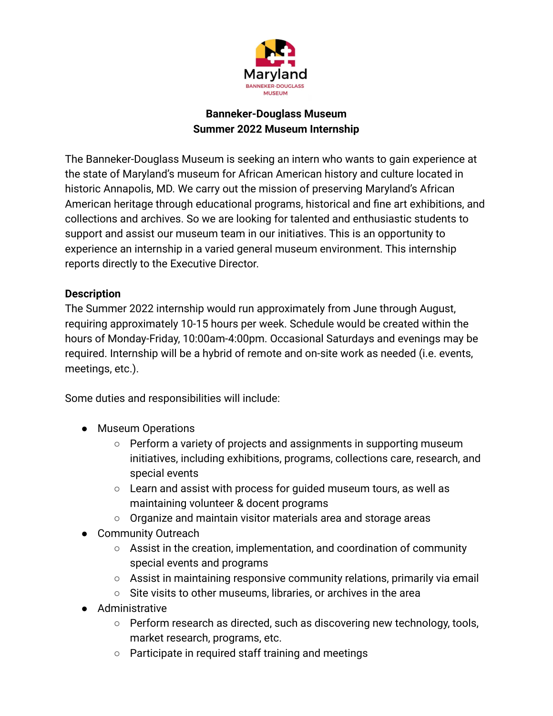

# **Banneker-Douglass Museum Summer 2022 Museum Internship**

The Banneker-Douglass Museum is seeking an intern who wants to gain experience at the state of Maryland's museum for African American history and culture located in historic Annapolis, MD. We carry out the mission of preserving Maryland's African American heritage through educational programs, historical and fine art exhibitions, and collections and archives. So we are looking for talented and enthusiastic students to support and assist our museum team in our initiatives. This is an opportunity to experience an internship in a varied general museum environment. This internship reports directly to the Executive Director.

#### **Description**

The Summer 2022 internship would run approximately from June through August, requiring approximately 10-15 hours per week. Schedule would be created within the hours of Monday-Friday, 10:00am-4:00pm. Occasional Saturdays and evenings may be required. Internship will be a hybrid of remote and on-site work as needed (i.e. events, meetings, etc.).

Some duties and responsibilities will include:

- Museum Operations
	- Perform a variety of projects and assignments in supporting museum initiatives, including exhibitions, programs, collections care, research, and special events
	- Learn and assist with process for quided museum tours, as well as maintaining volunteer & docent programs
	- Organize and maintain visitor materials area and storage areas
- Community Outreach
	- Assist in the creation, implementation, and coordination of community special events and programs
	- Assist in maintaining responsive community relations, primarily via email
	- Site visits to other museums, libraries, or archives in the area
- Administrative
	- Perform research as directed, such as discovering new technology, tools, market research, programs, etc.
	- Participate in required staff training and meetings